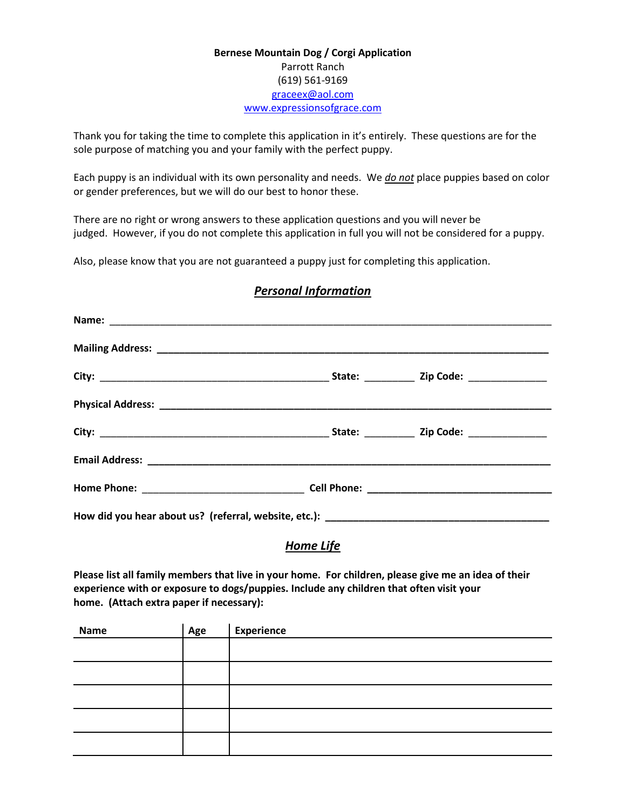## **Bernese Mountain Dog / Corgi Application** Parrott Ranch (619) 561-9169 [graceex@aol.com](mailto:graceex@aol.com) [www.expressionsofgrace.com](http://www.expressionsofgrace.com/)

Thank you for taking the time to complete this application in it's entirely. These questions are for the sole purpose of matching you and your family with the perfect puppy.

Each puppy is an individual with its own personality and needs. We *do not* place puppies based on color or gender preferences, but we will do our best to honor these.

There are no right or wrong answers to these application questions and you will never be judged. However, if you do not complete this application in full you will not be considered for a puppy.

Also, please know that you are not guaranteed a puppy just for completing this application.

## *Personal Information*

*Home Life*

**Please list all family members that live in your home. For children, please give me an idea of their experience with or exposure to dogs/puppies. Include any children that often visit your home. (Attach extra paper if necessary):**

| Name | Age | <b>Experience</b> |
|------|-----|-------------------|
|      |     |                   |
|      |     |                   |
|      |     |                   |
|      |     |                   |
|      |     |                   |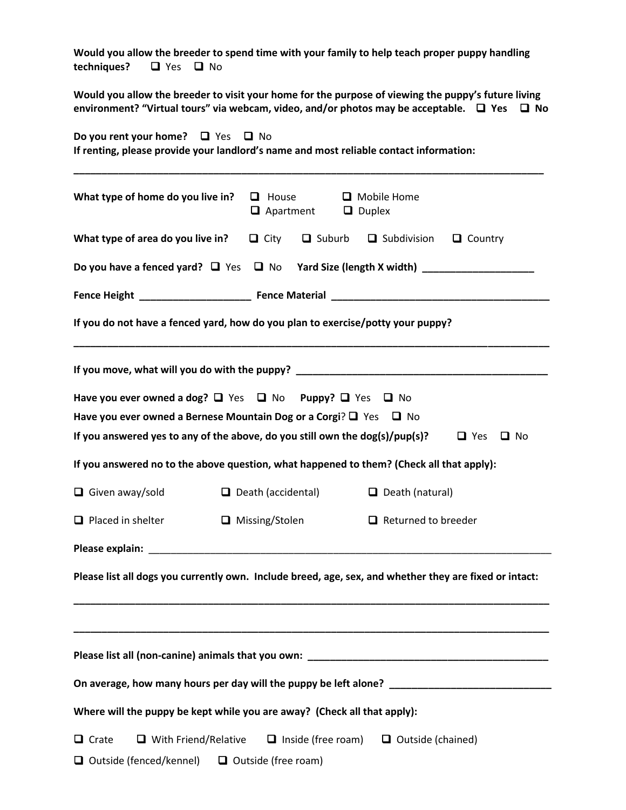| Would you allow the breeder to spend time with your family to help teach proper puppy handling<br>$\Box$ Yes $\Box$ No<br>techniques?                                                                        |                                                                                |                                |                                   |                         |
|--------------------------------------------------------------------------------------------------------------------------------------------------------------------------------------------------------------|--------------------------------------------------------------------------------|--------------------------------|-----------------------------------|-------------------------|
| Would you allow the breeder to visit your home for the purpose of viewing the puppy's future living<br>environment? "Virtual tours" via webcam, video, and/or photos may be acceptable. $\Box$ Yes $\Box$ No |                                                                                |                                |                                   |                         |
| Do you rent your home? $\Box$ Yes $\Box$ No<br>If renting, please provide your landlord's name and most reliable contact information:                                                                        |                                                                                |                                |                                   |                         |
| What type of home do you live in?                                                                                                                                                                            | $\Box$ House                                                                   | $\Box$ Apartment $\Box$ Duplex | Mobile Home                       |                         |
| What type of area do you live in?                                                                                                                                                                            |                                                                                | $\Box$ City $\Box$ Suburb      | $\Box$ Subdivision $\Box$ Country |                         |
| Do you have a fenced yard? $\Box$ Yes $\Box$ No                                                                                                                                                              |                                                                                |                                |                                   |                         |
|                                                                                                                                                                                                              |                                                                                |                                |                                   |                         |
| If you do not have a fenced yard, how do you plan to exercise/potty your puppy?                                                                                                                              |                                                                                |                                |                                   |                         |
| If you move, what will you do with the puppy? __________________________________                                                                                                                             |                                                                                |                                |                                   |                         |
| Have you ever owned a dog? $\Box$ Yes $\Box$ No Puppy? $\Box$ Yes $\Box$ No                                                                                                                                  |                                                                                |                                |                                   |                         |
| Have you ever owned a Bernese Mountain Dog or a Corgi? $\Box$ Yes $\Box$ No<br>If you answered yes to any of the above, do you still own the dog(s)/pup(s)?                                                  |                                                                                |                                |                                   | $\Box$ Yes<br>$\Box$ No |
| If you answered no to the above question, what happened to them? (Check all that apply):                                                                                                                     |                                                                                |                                |                                   |                         |
| $\Box$ Given away/sold                                                                                                                                                                                       | $\Box$ Death (accidental)                                                      |                                | $\Box$ Death (natural)            |                         |
| $\Box$ Placed in shelter                                                                                                                                                                                     |                                                                                |                                | $\Box$ Returned to breeder        |                         |
|                                                                                                                                                                                                              | □ Missing/Stolen                                                               |                                |                                   |                         |
| Please list all dogs you currently own. Include breed, age, sex, and whether they are fixed or intact:                                                                                                       |                                                                                |                                |                                   |                         |
|                                                                                                                                                                                                              |                                                                                |                                |                                   |                         |
|                                                                                                                                                                                                              |                                                                                |                                |                                   |                         |
| On average, how many hours per day will the puppy be left alone? ___________________________________                                                                                                         |                                                                                |                                |                                   |                         |
| Where will the puppy be kept while you are away? (Check all that apply):                                                                                                                                     |                                                                                |                                |                                   |                         |
| $\Box$ Crate                                                                                                                                                                                                 | $\Box$ With Friend/Relative $\Box$ Inside (free roam) $\Box$ Outside (chained) |                                |                                   |                         |
| $\Box$ Outside (fenced/kennel) $\Box$ Outside (free roam)                                                                                                                                                    |                                                                                |                                |                                   |                         |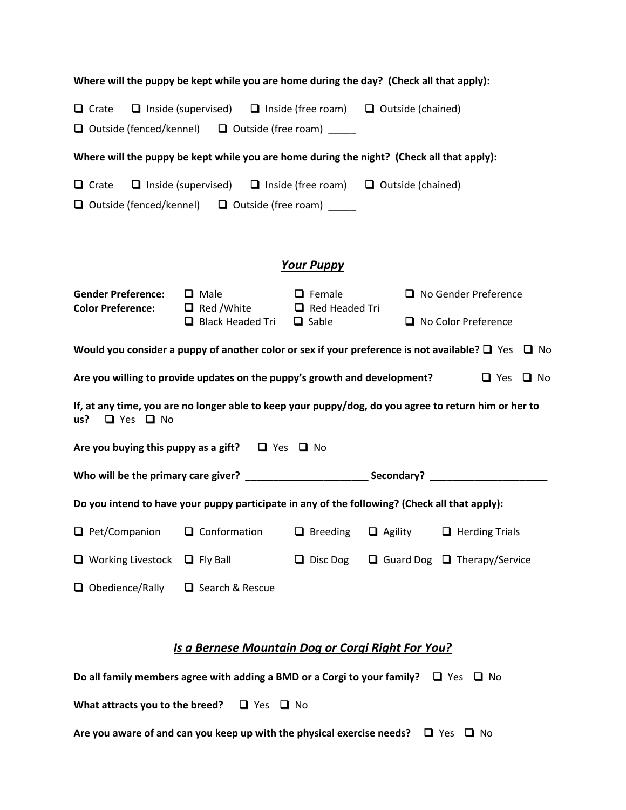| Where will the puppy be kept while you are home during the day? (Check all that apply):                                             |                                                                                               |                   |                |                                                                                                              |
|-------------------------------------------------------------------------------------------------------------------------------------|-----------------------------------------------------------------------------------------------|-------------------|----------------|--------------------------------------------------------------------------------------------------------------|
| $\Box$ Crate                                                                                                                        | □ Inside (supervised) □ Inside (free roam) □ Outside (chained)                                |                   |                |                                                                                                              |
|                                                                                                                                     | $\Box$ Outside (fenced/kennel) $\Box$ Outside (free roam) _____                               |                   |                |                                                                                                              |
|                                                                                                                                     | Where will the puppy be kept while you are home during the night? (Check all that apply):     |                   |                |                                                                                                              |
| $\Box$ Crate                                                                                                                        | □ Inside (supervised) □ Inside (free roam) □ Outside (chained)                                |                   |                |                                                                                                              |
|                                                                                                                                     | $\Box$ Outside (fenced/kennel) $\Box$ Outside (free roam) $\Box$                              |                   |                |                                                                                                              |
|                                                                                                                                     |                                                                                               |                   |                |                                                                                                              |
|                                                                                                                                     |                                                                                               | <b>Your Puppy</b> |                |                                                                                                              |
| <b>Gender Preference:</b><br><b>Color Preference:</b>                                                                               | $\Box$ Male<br>$\Box$ Red / White $\Box$ Red Headed Tri                                       | $\Box$ Female     |                | No Gender Preference                                                                                         |
|                                                                                                                                     | $\Box$ Black Headed Tri                                                                       | $\Box$ Sable      |                | No Color Preference                                                                                          |
|                                                                                                                                     |                                                                                               |                   |                | Would you consider a puppy of another color or sex if your preference is not available? $\Box$ Yes $\Box$ No |
| Are you willing to provide updates on the puppy's growth and development?<br>$\Box$ Yes $\Box$ No                                   |                                                                                               |                   |                |                                                                                                              |
| If, at any time, you are no longer able to keep your puppy/dog, do you agree to return him or her to<br>$\Box$ Yes $\Box$ No<br>us? |                                                                                               |                   |                |                                                                                                              |
| Are you buying this puppy as a gift? $\Box$ Yes $\Box$ No                                                                           |                                                                                               |                   |                |                                                                                                              |
|                                                                                                                                     |                                                                                               |                   |                |                                                                                                              |
| Do you intend to have your puppy participate in any of the following? (Check all that apply):                                       |                                                                                               |                   |                |                                                                                                              |
| $\Box$ Pet/Companion                                                                                                                | $\Box$ Conformation                                                                           | $\Box$ Breeding   | $\Box$ Agility | $\Box$ Herding Trials                                                                                        |
| $\Box$ Working Livestock                                                                                                            | $\Box$ Fly Ball                                                                               | $\Box$ Disc Dog   |                | $\Box$ Guard Dog $\Box$ Therapy/Service                                                                      |
| $\Box$ Obedience/Rally                                                                                                              | □ Search & Rescue                                                                             |                   |                |                                                                                                              |
| Is a Bernese Mountain Dog or Corgi Right For You?                                                                                   |                                                                                               |                   |                |                                                                                                              |
|                                                                                                                                     | Do all family members agree with adding a BMD or a Corgi to your family? $\Box$ Yes $\Box$ No |                   |                |                                                                                                              |

**What attracts you to the breed?**  $\Box$  Yes  $\Box$  No

**Are you aware of and can you keep up with the physical exercise needs? □ Yes □ No**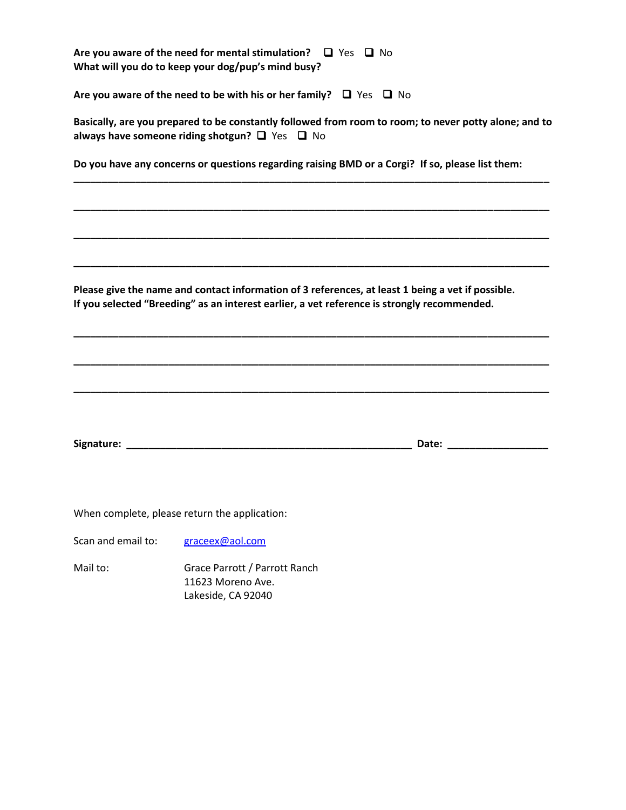|                    | Are you aware of the need for mental stimulation? $\Box$ Yes $\Box$ No<br>What will you do to keep your dog/pup's mind busy?                                                                                                   |                                                                                                                                                                                                                                |
|--------------------|--------------------------------------------------------------------------------------------------------------------------------------------------------------------------------------------------------------------------------|--------------------------------------------------------------------------------------------------------------------------------------------------------------------------------------------------------------------------------|
|                    | Are you aware of the need to be with his or her family? $\Box$ Yes $\Box$ No                                                                                                                                                   |                                                                                                                                                                                                                                |
|                    | Basically, are you prepared to be constantly followed from room to room; to never potty alone; and to<br>always have someone riding shotgun? $\Box$ Yes $\Box$ No                                                              |                                                                                                                                                                                                                                |
|                    | Do you have any concerns or questions regarding raising BMD or a Corgi? If so, please list them:                                                                                                                               |                                                                                                                                                                                                                                |
|                    |                                                                                                                                                                                                                                |                                                                                                                                                                                                                                |
|                    |                                                                                                                                                                                                                                |                                                                                                                                                                                                                                |
|                    | Please give the name and contact information of 3 references, at least 1 being a vet if possible.<br>If you selected "Breeding" as an interest earlier, a vet reference is strongly recommended.                               |                                                                                                                                                                                                                                |
|                    |                                                                                                                                                                                                                                |                                                                                                                                                                                                                                |
|                    | Signature: All and the state of the state of the state of the state of the state of the state of the state of the state of the state of the state of the state of the state of the state of the state of the state of the stat | Date: the contract of the contract of the contract of the contract of the contract of the contract of the contract of the contract of the contract of the contract of the contract of the contract of the contract of the cont |
|                    | When complete, please return the application:                                                                                                                                                                                  |                                                                                                                                                                                                                                |
| Scan and email to: | graceex@aol.com                                                                                                                                                                                                                |                                                                                                                                                                                                                                |
| Mail to:           | Grace Parrott / Parrott Ranch<br>11623 Moreno Ave.<br>Lakeside, CA 92040                                                                                                                                                       |                                                                                                                                                                                                                                |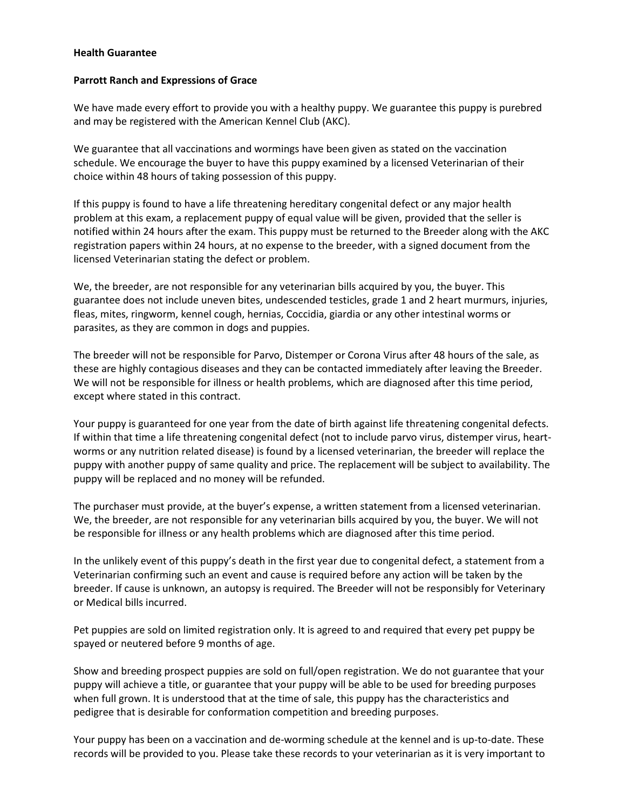## **Health Guarantee**

## **Parrott Ranch and Expressions of Grace**

We have made every effort to provide you with a healthy puppy. We guarantee this puppy is purebred and may be registered with the American Kennel Club (AKC).

We guarantee that all vaccinations and wormings have been given as stated on the vaccination schedule. We encourage the buyer to have this puppy examined by a licensed Veterinarian of their choice within 48 hours of taking possession of this puppy.

If this puppy is found to have a life threatening hereditary congenital defect or any major health problem at this exam, a replacement puppy of equal value will be given, provided that the seller is notified within 24 hours after the exam. This puppy must be returned to the Breeder along with the AKC registration papers within 24 hours, at no expense to the breeder, with a signed document from the licensed Veterinarian stating the defect or problem.

We, the breeder, are not responsible for any veterinarian bills acquired by you, the buyer. This guarantee does not include uneven bites, undescended testicles, grade 1 and 2 heart murmurs, injuries, fleas, mites, ringworm, kennel cough, hernias, Coccidia, giardia or any other intestinal worms or parasites, as they are common in dogs and puppies.

The breeder will not be responsible for Parvo, Distemper or Corona Virus after 48 hours of the sale, as these are highly contagious diseases and they can be contacted immediately after leaving the Breeder. We will not be responsible for illness or health problems, which are diagnosed after this time period, except where stated in this contract.

Your puppy is guaranteed for one year from the date of birth against life threatening congenital defects. If within that time a life threatening congenital defect (not to include parvo virus, distemper virus, heartworms or any nutrition related disease) is found by a licensed veterinarian, the breeder will replace the puppy with another puppy of same quality and price. The replacement will be subject to availability. The puppy will be replaced and no money will be refunded.

The purchaser must provide, at the buyer's expense, a written statement from a licensed veterinarian. We, the breeder, are not responsible for any veterinarian bills acquired by you, the buyer. We will not be responsible for illness or any health problems which are diagnosed after this time period.

In the unlikely event of this puppy's death in the first year due to congenital defect, a statement from a Veterinarian confirming such an event and cause is required before any action will be taken by the breeder. If cause is unknown, an autopsy is required. The Breeder will not be responsibly for Veterinary or Medical bills incurred.

Pet puppies are sold on limited registration only. It is agreed to and required that every pet puppy be spayed or neutered before 9 months of age.

Show and breeding prospect puppies are sold on full/open registration. We do not guarantee that your puppy will achieve a title, or guarantee that your puppy will be able to be used for breeding purposes when full grown. It is understood that at the time of sale, this puppy has the characteristics and pedigree that is desirable for conformation competition and breeding purposes.

Your puppy has been on a vaccination and de-worming schedule at the kennel and is up-to-date. These records will be provided to you. Please take these records to your veterinarian as it is very important to